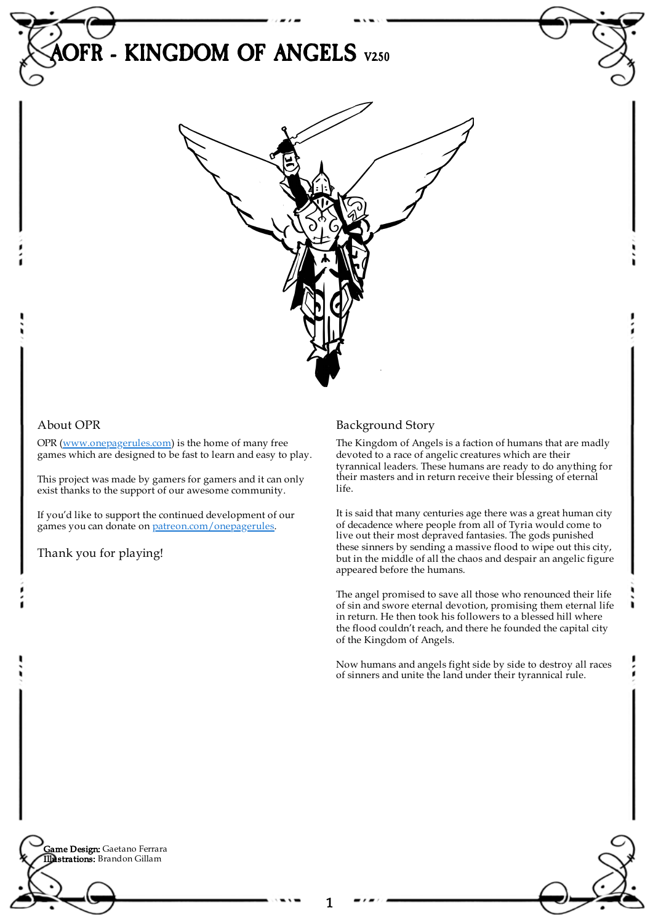



## About OPR

OPR [\(www.onepagerules.com](https://webapp.onepagerules.com/army-books/view/RgHxqAlAXnUuF3ty~6/https//www.onepagerules.com)) is the home of many free games which are designed to be fast to learn and easy to play.

This project was made by gamers for gamers and it can only exist thanks to the support of our awesome community.

If you'd like to support the continued development of our games you can donate on [patreon.com/onepagerules](https://www.patreon.com/onepagerules).

Thank you for playing!

## Background Story

The Kingdom of Angels is a faction of humans that are madly devoted to a race of angelic creatures which are their tyrannical leaders. These humans are ready to do anything for their masters and in return receive their blessing of eternal life.

It is said that many centuries age there was a great human city of decadence where people from all of Tyria would come to live out their most depraved fantasies. The gods punished these sinners by sending a massive flood to wipe out this city, but in the middle of all the chaos and despair an angelic figure appeared before the humans.

The angel promised to save all those who renounced their life of sin and swore eternal devotion, promising them eternal life in return. He then took his followers to a blessed hill where the flood couldn't reach, and there he founded the capital city of the Kingdom of Angels.

Now humans and angels fight side by side to destroy all races of sinners and unite the land under their tyrannical rule.